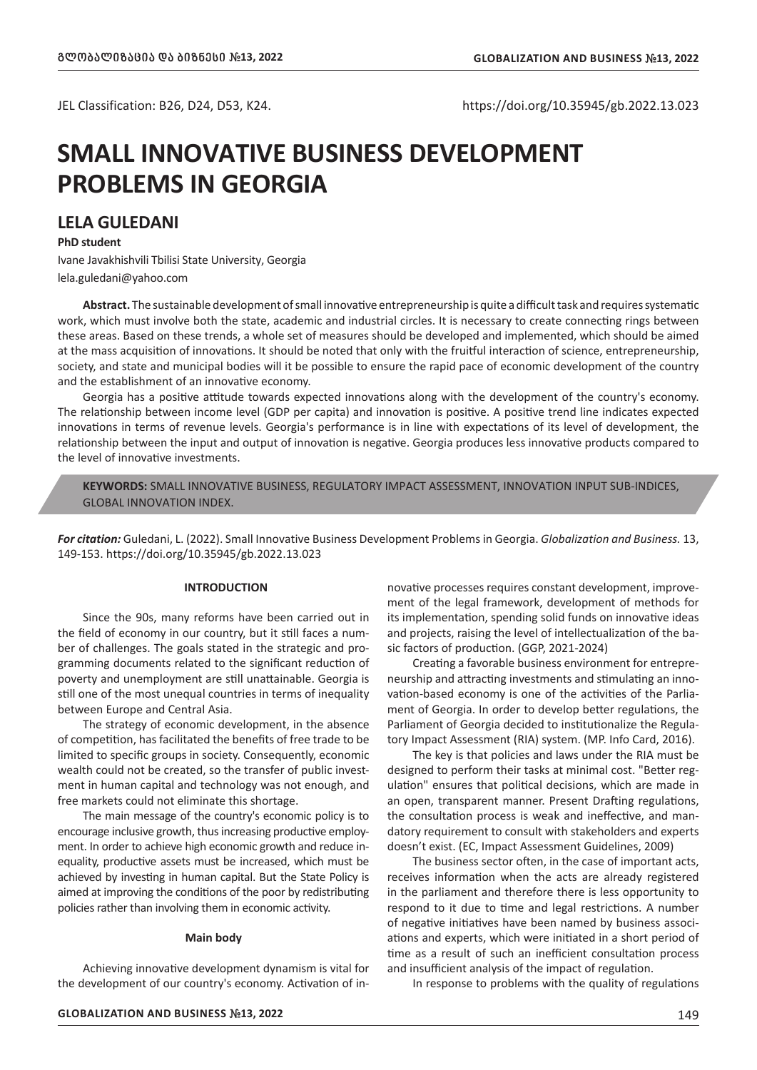# **SMALL INNOVATIVE BUSINESS DEVELOPMENT PROBLEMS IN GEORGIA**

# **LELA GULEDANI**

## **PhD student**

Ivane Javakhishvili Tbilisi State University, Georgia lela.guledani@yahoo.com

**Abstract.** The sustainable development of small innovative entrepreneurship is quite a difficult task and requires systematic work, which must involve both the state, academic and industrial circles. It is necessary to create connecting rings between these areas. Based on these trends, a whole set of measures should be developed and implemented, which should be aimed at the mass acquisition of innovations. It should be noted that only with the fruitful interaction of science, entrepreneurship, society, and state and municipal bodies will it be possible to ensure the rapid pace of economic development of the country and the establishment of an innovative economy.

Georgia has a positive attitude towards expected innovations along with the development of the country's economy. The relationship between income level (GDP per capita) and innovation is positive. A positive trend line indicates expected innovations in terms of revenue levels. Georgia's performance is in line with expectations of its level of development, the relationship between the input and output of innovation is negative. Georgia produces less innovative products compared to the level of innovative investments.

**KEYWORDS:** SMALL INNOVATIVE BUSINESS, REGULATORY IMPACT ASSESSMENT, INNOVATION INPUT SUB-INDICES, GLOBAL INNOVATION INDEX.

*For citation:* Guledani, L. (2022). Small Innovative Business Development Problems in Georgia. *Globalization and Business.* 13, 149-153. https://doi.org/10.35945/gb.2022.13.023

#### **INTRODUCTION**

Since the 90s, many reforms have been carried out in the field of economy in our country, but it still faces a number of challenges. The goals stated in the strategic and programming documents related to the significant reduction of poverty and unemployment are still unattainable. Georgia is still one of the most unequal countries in terms of inequality between Europe and Central Asia.

The strategy of economic development, in the absence of competition, has facilitated the benefits of free trade to be limited to specific groups in society. Consequently, economic wealth could not be created, so the transfer of public investment in human capital and technology was not enough, and free markets could not eliminate this shortage.

The main message of the country's economic policy is to encourage inclusive growth, thus increasing productive employment. In order to achieve high economic growth and reduce inequality, productive assets must be increased, which must be achieved by investing in human capital. But the State Policy is aimed at improving the conditions of the poor by redistributing policies rather than involving them in economic activity.

#### **Main body**

Achieving innovative development dynamism is vital for the development of our country's economy. Activation of in-

**GLOBALIZATION AND BUSINESS** *#***13, 2022** 149

novative processes requires constant development, improvement of the legal framework, development of methods for its implementation, spending solid funds on innovative ideas and projects, raising the level of intellectualization of the basic factors of production. (GGP, 2021-2024)

Creating a favorable business environment for entrepreneurship and attracting investments and stimulating an innovation-based economy is one of the activities of the Parliament of Georgia. In order to develop better regulations, the Parliament of Georgia decided to institutionalize the Regulatory Impact Assessment (RIA) system. (MP. Info Card, 2016).

The key is that policies and laws under the RIA must be designed to perform their tasks at minimal cost. "Better regulation" ensures that political decisions, which are made in an open, transparent manner. Present Drafting regulations, the consultation process is weak and ineffective, and mandatory requirement to consult with stakeholders and experts doesn't exist. (EC, Impact Assessment Guidelines, 2009)

The business sector often, in the case of important acts, receives information when the acts are already registered in the parliament and therefore there is less opportunity to respond to it due to time and legal restrictions. A number of negative initiatives have been named by business associations and experts, which were initiated in a short period of time as a result of such an inefficient consultation process and insufficient analysis of the impact of regulation.

In response to problems with the quality of regulations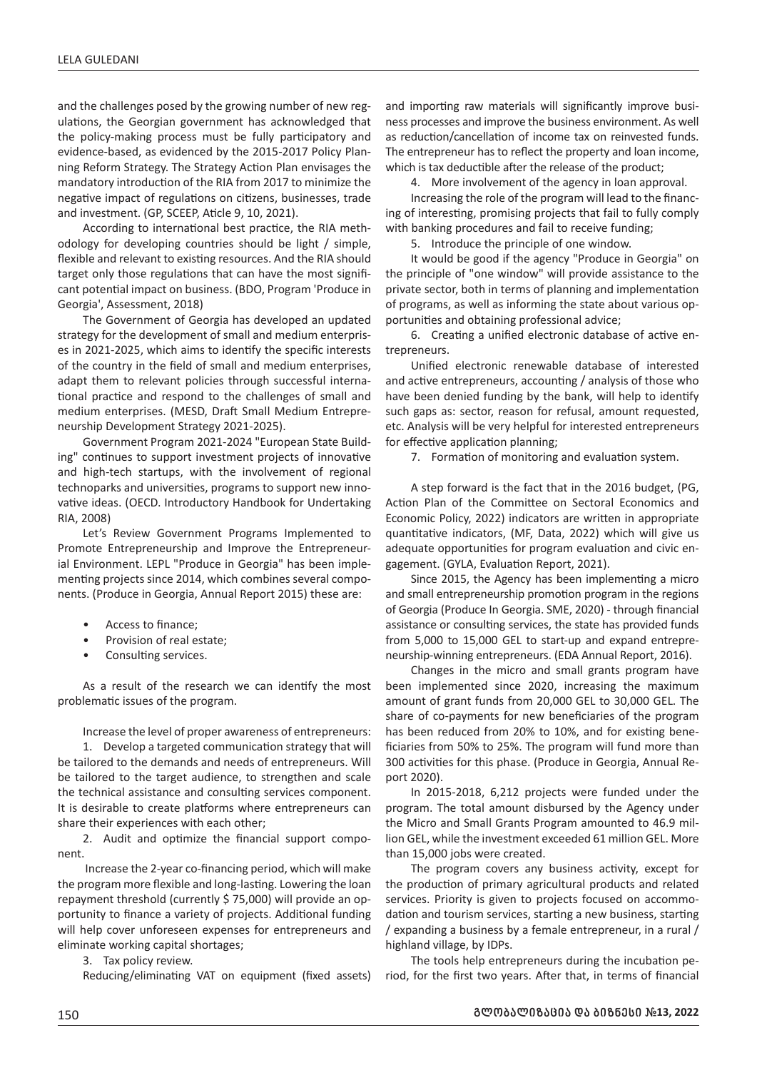and the challenges posed by the growing number of new regulations, the Georgian government has acknowledged that the policy-making process must be fully participatory and evidence-based, as evidenced by the 2015-2017 Policy Planning Reform Strategy. The Strategy Action Plan envisages the mandatory introduction of the RIA from 2017 to minimize the negative impact of regulations on citizens, businesses, trade and investment. (GP, SCEEP, Aticle 9, 10, 2021).

According to international best practice, the RIA methodology for developing countries should be light / simple, flexible and relevant to existing resources. And the RIA should target only those regulations that can have the most significant potential impact on business. (BDO, Program 'Produce in Georgia', Assessment, 2018)

The Government of Georgia has developed an updated strategy for the development of small and medium enterprises in 2021-2025, which aims to identify the specific interests of the country in the field of small and medium enterprises, adapt them to relevant policies through successful international practice and respond to the challenges of small and medium enterprises. (MESD, Draft Small Medium Entrepreneurship Development Strategy 2021-2025).

Government Program 2021-2024 "European State Building" continues to support investment projects of innovative and high-tech startups, with the involvement of regional technoparks and universities, programs to support new innovative ideas. (OECD. Introductory Handbook for Undertaking RIA, 2008)

Let's Review Government Programs Implemented to Promote Entrepreneurship and Improve the Entrepreneurial Environment. LEPL "Produce in Georgia" has been implementing projects since 2014, which combines several components. (Produce in Georgia, Annual Report 2015) these are:

- Access to finance;
- Provision of real estate;
- Consulting services.

As a result of the research we can identify the most problematic issues of the program.

Increase the level of proper awareness of entrepreneurs:

1. Develop a targeted communication strategy that will be tailored to the demands and needs of entrepreneurs. Will be tailored to the target audience, to strengthen and scale the technical assistance and consulting services component. It is desirable to create platforms where entrepreneurs can share their experiences with each other;

2. Audit and optimize the financial support component.

 Increase the 2-year co-financing period, which will make the program more flexible and long-lasting. Lowering the loan repayment threshold (currently \$ 75,000) will provide an opportunity to finance a variety of projects. Additional funding will help cover unforeseen expenses for entrepreneurs and eliminate working capital shortages;

3. Tax policy review.

Reducing/eliminating VAT on equipment (fixed assets)

and importing raw materials will significantly improve business processes and improve the business environment. As well as reduction/cancellation of income tax on reinvested funds. The entrepreneur has to reflect the property and loan income, which is tax deductible after the release of the product;

4. More involvement of the agency in loan approval.

Increasing the role of the program will lead to the financing of interesting, promising projects that fail to fully comply with banking procedures and fail to receive funding;

5. Introduce the principle of one window.

It would be good if the agency "Produce in Georgia" on the principle of "one window" will provide assistance to the private sector, both in terms of planning and implementation of programs, as well as informing the state about various opportunities and obtaining professional advice;

6. Creating a unified electronic database of active entrepreneurs.

Unified electronic renewable database of interested and active entrepreneurs, accounting / analysis of those who have been denied funding by the bank, will help to identify such gaps as: sector, reason for refusal, amount requested, etc. Analysis will be very helpful for interested entrepreneurs for effective application planning;

7. Formation of monitoring and evaluation system.

A step forward is the fact that in the 2016 budget, (PG, Action Plan of the Committee on Sectoral Economics and Economic Policy, 2022) indicators are written in appropriate quantitative indicators, (MF, Data, 2022) which will give us adequate opportunities for program evaluation and civic engagement. (GYLA, Evaluation Report, 2021).

Since 2015, the Agency has been implementing a micro and small entrepreneurship promotion program in the regions of Georgia (Produce In Georgia. SME, 2020) - through financial assistance or consulting services, the state has provided funds from 5,000 to 15,000 GEL to start-up and expand entrepreneurship-winning entrepreneurs. (EDA Annual Report, 2016).

Changes in the micro and small grants program have been implemented since 2020, increasing the maximum amount of grant funds from 20,000 GEL to 30,000 GEL. The share of co-payments for new beneficiaries of the program has been reduced from 20% to 10%, and for existing beneficiaries from 50% to 25%. The program will fund more than 300 activities for this phase. (Produce in Georgia, Annual Report 2020).

In 2015-2018, 6,212 projects were funded under the program. The total amount disbursed by the Agency under the Micro and Small Grants Program amounted to 46.9 million GEL, while the investment exceeded 61 million GEL. More than 15,000 jobs were created.

The program covers any business activity, except for the production of primary agricultural products and related services. Priority is given to projects focused on accommodation and tourism services, starting a new business, starting / expanding a business by a female entrepreneur, in a rural / highland village, by IDPs.

The tools help entrepreneurs during the incubation period, for the first two years. After that, in terms of financial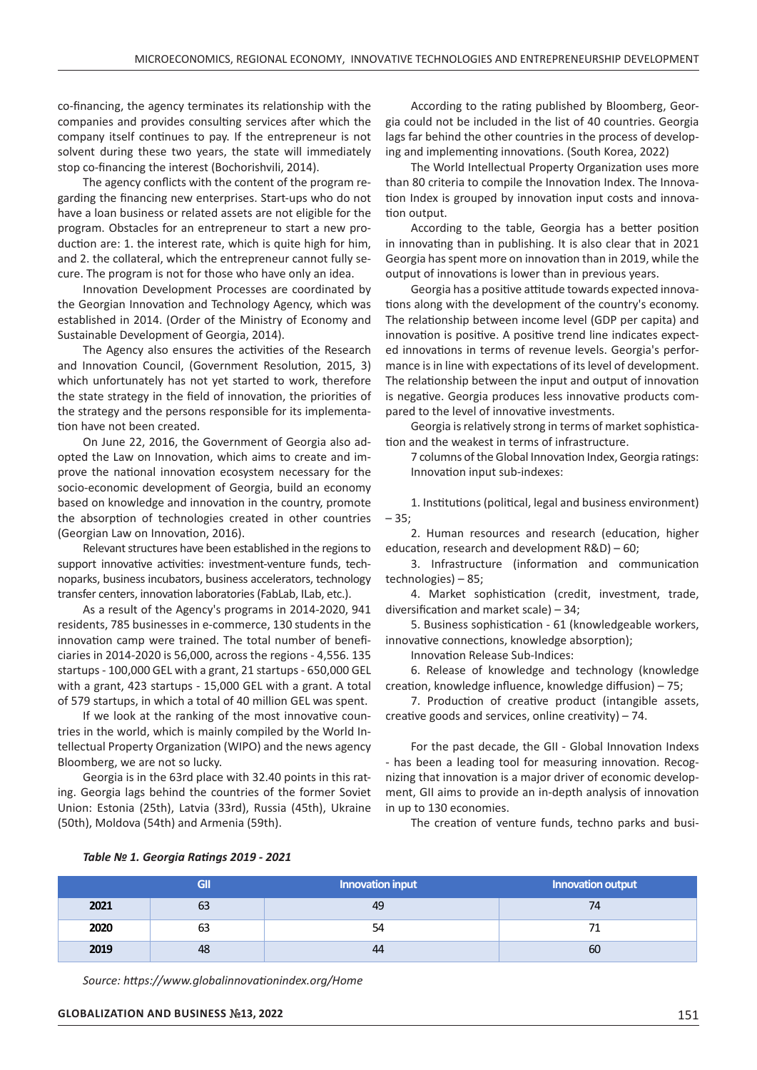co-financing, the agency terminates its relationship with the companies and provides consulting services after which the company itself continues to pay. If the entrepreneur is not solvent during these two years, the state will immediately stop co-financing the interest (Bochorishvili, 2014).

The agency conflicts with the content of the program regarding the financing new enterprises. Start-ups who do not have a loan business or related assets are not eligible for the program. Obstacles for an entrepreneur to start a new production are: 1. the interest rate, which is quite high for him, and 2. the collateral, which the entrepreneur cannot fully secure. The program is not for those who have only an idea.

Innovation Development Processes are coordinated by the Georgian Innovation and Technology Agency, which was established in 2014. (Order of the Ministry of Economy and Sustainable Development of Georgia, 2014).

The Agency also ensures the activities of the Research and Innovation Council, (Government Resolution, 2015, 3) which unfortunately has not yet started to work, therefore the state strategy in the field of innovation, the priorities of the strategy and the persons responsible for its implementation have not been created.

On June 22, 2016, the Government of Georgia also adopted the Law on Innovation, which aims to create and improve the national innovation ecosystem necessary for the socio-economic development of Georgia, build an economy based on knowledge and innovation in the country, promote the absorption of technologies created in other countries (Georgian Law on Innovation, 2016).

Relevant structures have been established in the regions to support innovative activities: investment-venture funds, technoparks, business incubators, business accelerators, technology transfer centers, innovation laboratories (FabLab, ILab, etc.).

As a result of the Agency's programs in 2014-2020, 941 residents, 785 businesses in e-commerce, 130 students in the innovation camp were trained. The total number of beneficiaries in 2014-2020 is 56,000, across the regions - 4,556. 135 startups - 100,000 GEL with a grant, 21 startups - 650,000 GEL with a grant, 423 startups - 15,000 GEL with a grant. A total of 579 startups, in which a total of 40 million GEL was spent.

If we look at the ranking of the most innovative countries in the world, which is mainly compiled by the World Intellectual Property Organization (WIPO) and the news agency Bloomberg, we are not so lucky.

Georgia is in the 63rd place with 32.40 points in this rating. Georgia lags behind the countries of the former Soviet Union: Estonia (25th), Latvia (33rd), Russia (45th), Ukraine (50th), Moldova (54th) and Armenia (59th).

According to the rating published by Bloomberg, Georgia could not be included in the list of 40 countries. Georgia lags far behind the other countries in the process of developing and implementing innovations. (South Korea, 2022)

The World Intellectual Property Organization uses more than 80 criteria to compile the Innovation Index. The Innovation Index is grouped by innovation input costs and innovation output.

According to the table, Georgia has a better position in innovating than in publishing. It is also clear that in 2021 Georgia has spent more on innovation than in 2019, while the output of innovations is lower than in previous years.

Georgia has a positive attitude towards expected innovations along with the development of the country's economy. The relationship between income level (GDP per capita) and innovation is positive. A positive trend line indicates expected innovations in terms of revenue levels. Georgia's performance is in line with expectations of its level of development. The relationship between the input and output of innovation is negative. Georgia produces less innovative products compared to the level of innovative investments.

Georgia is relatively strong in terms of market sophistication and the weakest in terms of infrastructure.

7 columns of the Global Innovation Index, Georgia ratings: Innovation input sub-indexes:

1. Institutions (political, legal and business environment) – 35;

2. Human resources and research (education, higher education, research and development R&D) – 60;

3. Infrastructure (information and communication technologies) – 85;

4. Market sophistication (credit, investment, trade, diversification and market scale) – 34;

5. Business sophistication - 61 (knowledgeable workers, innovative connections, knowledge absorption);

Innovation Release Sub-Indices:

6. Release of knowledge and technology (knowledge creation, knowledge influence, knowledge diffusion) – 75;

7. Production of creative product (intangible assets, creative goods and services, online creativity) – 74.

For the past decade, the GII - Global Innovation Indexs - has been a leading tool for measuring innovation. Recognizing that innovation is a major driver of economic development, GII aims to provide an in-depth analysis of innovation in up to 130 economies.

The creation of venture funds, techno parks and busi-

|      | GII | Innovation input | Innovation output |
|------|-----|------------------|-------------------|
| 2021 | 63  | 49               | 74                |
| 2020 | 63  | 54               |                   |
| 2019 | 48  | 44               | 60                |

#### *Table № 1. Georgia Ratings 2019 - 2021*

*Source: https://www.globalinnovationindex.org/Home*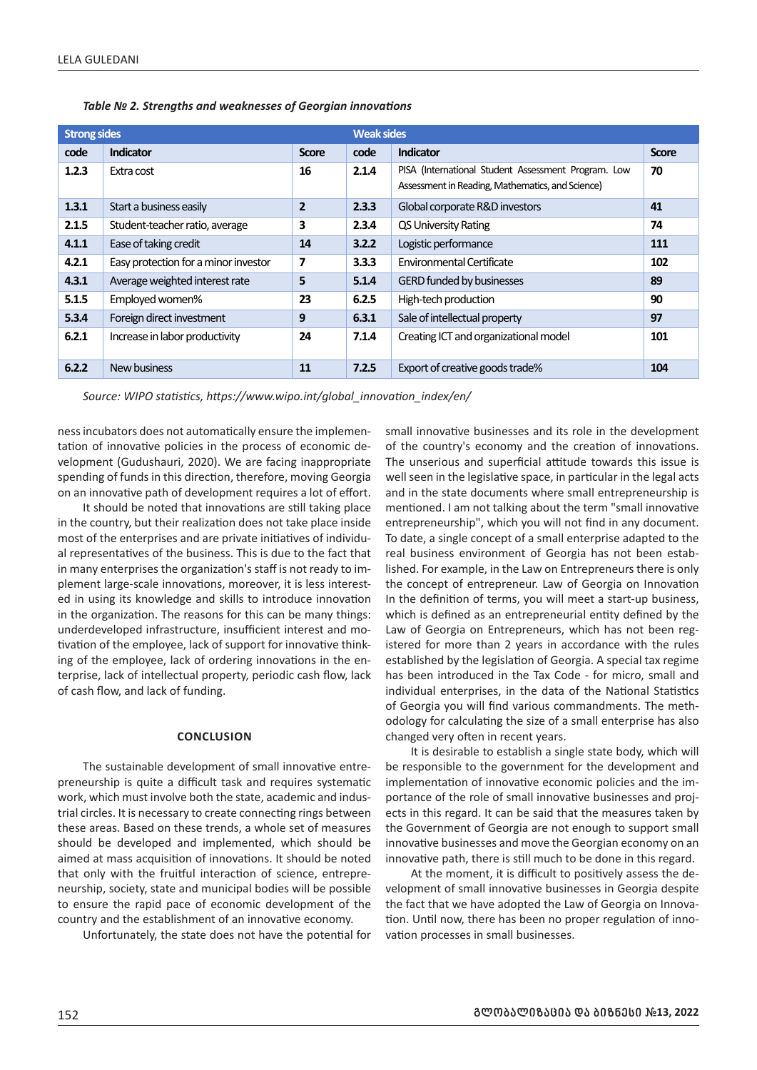| <b>Strong sides</b> |                                      |                | <b>Weak sides</b> |                                                                                                         |              |
|---------------------|--------------------------------------|----------------|-------------------|---------------------------------------------------------------------------------------------------------|--------------|
| code                | Indicator                            | <b>Score</b>   | code              | Indicator                                                                                               | <b>Score</b> |
| 1.2.3               | Extra cost                           | 16             | 2.1.4             | PISA (International Student Assessment Program. Low<br>Assessment in Reading, Mathematics, and Science) | 70           |
| 1.3.1               | Start a business easily              | $\overline{2}$ | 2.3.3             | Global corporate R&D investors                                                                          | 41           |
| 2.1.5               | Student-teacher ratio, average       | 3              | 2.3.4             | <b>QS University Rating</b>                                                                             | 74           |
| 4.1.1               | Ease of taking credit                | 14             | 3.2.2             | Logistic performance                                                                                    | 111          |
| 4.2.1               | Easy protection for a minor investor | 7              | 3.3.3             | Environmental Certificate                                                                               | 102          |
| 4.3.1               | Average weighted interest rate       | 5              | 5.1.4             | <b>GERD funded by businesses</b>                                                                        | 89           |
| 5.1.5               | Employed women%                      | 23             | 6.2.5             | High-tech production                                                                                    | 90           |
| 5.3.4               | Foreign direct investment            | 9              | 6.3.1             | Sale of intellectual property                                                                           | 97           |
| 6.2.1               | Increase in labor productivity       | 24             | 7.1.4             | Creating ICT and organizational model                                                                   | 101          |
| 6.2.2               | New business                         | 11             | 7.2.5             | Export of creative goods trade%                                                                         | 104          |

*Table № 2. Strengths and weaknesses of Georgian innovations*

*Source: WIPO statistics, https://www.wipo.int/global\_innovation\_index/en/* 

ness incubators does not automatically ensure the implementation of innovative policies in the process of economic development (Gudushauri, 2020). We are facing inappropriate spending of funds in this direction, therefore, moving Georgia on an innovative path of development requires a lot of effort.

It should be noted that innovations are still taking place in the country, but their realization does not take place inside most of the enterprises and are private initiatives of individual representatives of the business. This is due to the fact that in many enterprises the organization's staff is not ready to implement large-scale innovations, moreover, it is less interested in using its knowledge and skills to introduce innovation in the organization. The reasons for this can be many things: underdeveloped infrastructure, insufficient interest and motivation of the employee, lack of support for innovative thinking of the employee, lack of ordering innovations in the enterprise, lack of intellectual property, periodic cash flow, lack of cash flow, and lack of funding.

#### **CONCLUSION**

The sustainable development of small innovative entrepreneurship is quite a difficult task and requires systematic work, which must involve both the state, academic and industrial circles. It is necessary to create connecting rings between these areas. Based on these trends, a whole set of measures should be developed and implemented, which should be aimed at mass acquisition of innovations. It should be noted that only with the fruitful interaction of science, entrepreneurship, society, state and municipal bodies will be possible to ensure the rapid pace of economic development of the country and the establishment of an innovative economy.

Unfortunately, the state does not have the potential for

small innovative businesses and its role in the development of the country's economy and the creation of innovations. The unserious and superficial attitude towards this issue is well seen in the legislative space, in particular in the legal acts and in the state documents where small entrepreneurship is mentioned. I am not talking about the term "small innovative entrepreneurship", which you will not find in any document. To date, a single concept of a small enterprise adapted to the real business environment of Georgia has not been established. For example, in the Law on Entrepreneurs there is only the concept of entrepreneur. Law of Georgia on Innovation In the definition of terms, you will meet a start-up business, which is defined as an entrepreneurial entity defined by the Law of Georgia on Entrepreneurs, which has not been registered for more than 2 years in accordance with the rules established by the legislation of Georgia. A special tax regime has been introduced in the Tax Code - for micro, small and individual enterprises, in the data of the National Statistics of Georgia you will find various commandments. The methodology for calculating the size of a small enterprise has also changed very often in recent years.

It is desirable to establish a single state body, which will be responsible to the government for the development and implementation of innovative economic policies and the importance of the role of small innovative businesses and projects in this regard. It can be said that the measures taken by the Government of Georgia are not enough to support small innovative businesses and move the Georgian economy on an innovative path, there is still much to be done in this regard.

At the moment, it is difficult to positively assess the development of small innovative businesses in Georgia despite the fact that we have adopted the Law of Georgia on Innovation. Until now, there has been no proper regulation of innovation processes in small businesses.